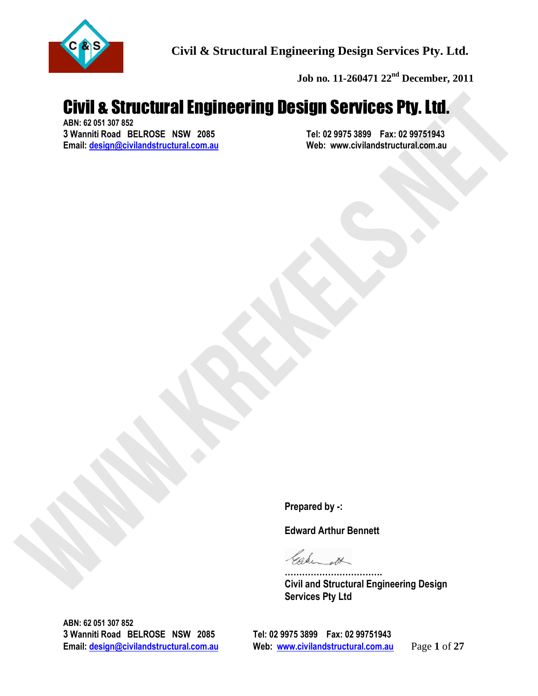

**Job no. 11-260471 22nd December, 2011**

# Civil as Structural Engineering Design<br>
Now Was also as a structural Engineering Design<br>
Email: designation<br>
Email: designation<br>
Engineering Design<br>
Proported by .<br>
Edward Arthur Bernett<br>
Civil and Structural Engineering D Civil & Structural Engineering Design Services Pty. Ltd.

**ABN: 62 051 307 852 3** Wanniti Road BELROSE NSW 2085<br>
Email: design@civilandstructural.com.au
Web: www.civilandstructural.com.au **Email: design@civilandstructural.com.au** 

**Prepared by -:** 

**Edward Arthur Bennett** 

**……………………………. Civil and Structural Engineering Design Services Pty Ltd** 

**ABN: 62 051 307 852 3 Wanniti Road BELROSE NSW 2085 Tel: 02 9975 3899 Fax: 02 99751943** 

**Email: design@civilandstructural.com.au Web: www.civilandstructural.com.au** Page **1** of **27**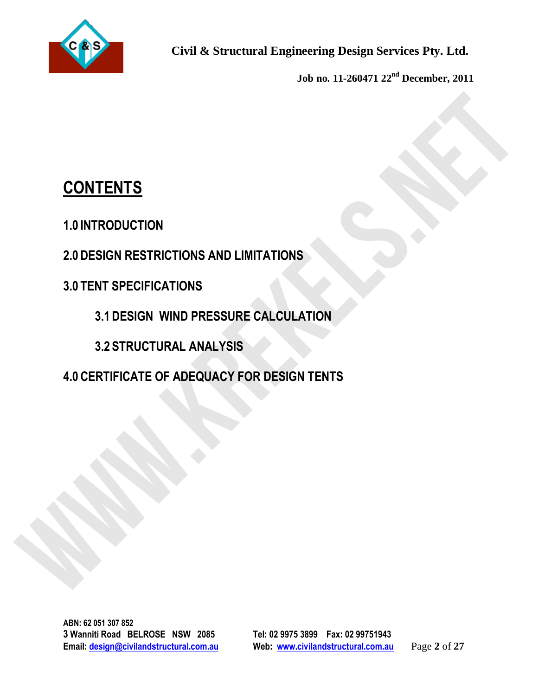

**Job no. 11-260471 22nd December, 2011**

# **CONTENTS**

**1.0 INTRODUCTION** 

**2.0 DESIGN RESTRICTIONS AND LIMITATIONS** 

# **3.0 TENT SPECIFICATIONS**

**3.1 DESIGN WIND PRESSURE CALCULATION** 

**3.2 STRUCTURAL ANALYSIS** 

CONTENTS<br>
1.0 INTRODUCTION<br>
2.0 DESIGN RESTRICTIONS AND LIMITATIONS<br>
3.1 DESIGN WIND PRESSURE CALCULATION<br>
3.2 STRUCTURAL ANALYSIS<br>
4.0 CERTIFICATE OF ADEQUACY FOR DESIGN TENTS **4.0 CERTIFICATE OF ADEQUACY FOR DESIGN TENTS**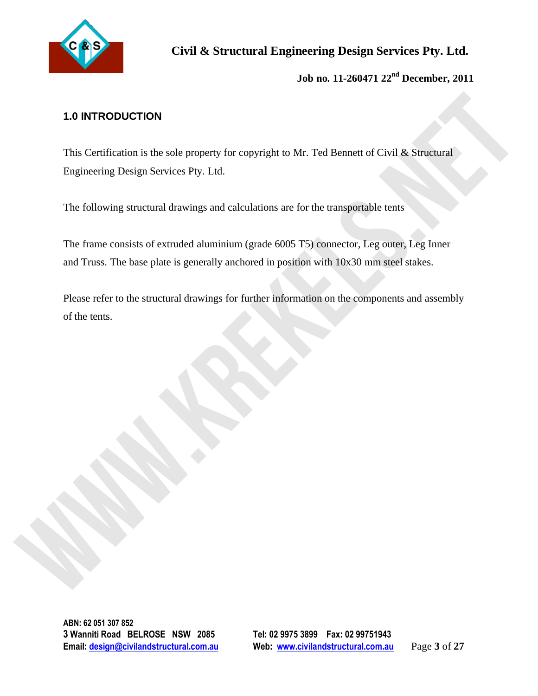

# **1.0 INTRODUCTION**

This Certification is the sole property for copyright to Mr. Ted Bennett of Civil & Structural Engineering Design Services Pty. Ltd.

The following structural drawings and calculations are for the transportable tents

The frame consists of extruded aluminium (grade 6005 T5) connector, Leg outer, Leg Inner and Truss. The base plate is generally anchored in position with 10x30 mm steel stakes.

1.0 INTRODUCTION<br>
This Certification is the sole property for copyright to Mr. Ted Bennett of Civil & Structural<br>
Engineering Design Services Pty. Ltd.<br>
The frame consiste of extracted aluminium (grade 6005 T5) connectric, Please refer to the structural drawings for further information on the components and assembly of the tents.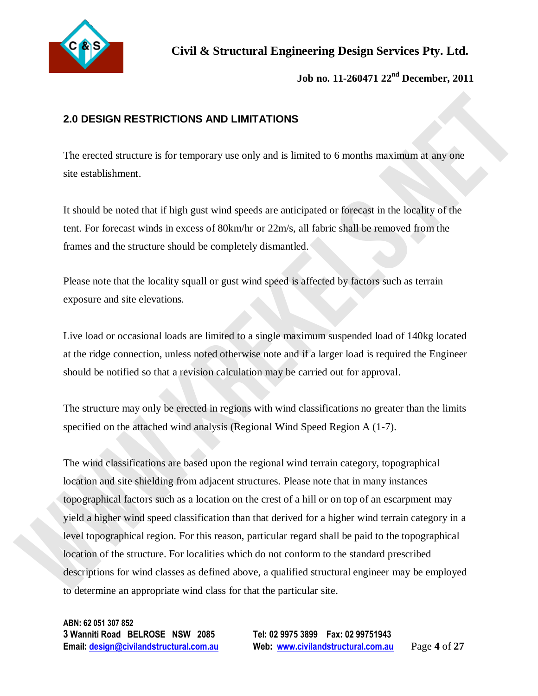

**Job no. 11-260471 22nd December, 2011**

# **2.0 DESIGN RESTRICTIONS AND LIMITATIONS**

The erected structure is for temporary use only and is limited to 6 months maximum at any one site establishment.

It should be noted that if high gust wind speeds are anticipated or forecast in the locality of the tent. For forecast winds in excess of 80km/hr or 22m/s, all fabric shall be removed from the frames and the structure should be completely dismantled.

Please note that the locality squall or gust wind speed is affected by factors such as terrain exposure and site elevations.

Live load or occasional loads are limited to a single maximum suspended load of 140kg located at the ridge connection, unless noted otherwise note and if a larger load is required the Engineer should be notified so that a revision calculation may be carried out for approval.

The structure may only be erected in regions with wind classifications no greater than the limits specified on the attached wind analysis (Regional Wind Speed Region A (1-7).

**2.0 DESIGN RESTRICTIONS AND LIMITATIONS**<br>The enected structure is for temporary use only and is limited to 6 months maximum at any only<br>suite establishment.<br>It should be noted that if high gast wind speeds are anticipate The wind classifications are based upon the regional wind terrain category, topographical location and site shielding from adjacent structures. Please note that in many instances topographical factors such as a location on the crest of a hill or on top of an escarpment may yield a higher wind speed classification than that derived for a higher wind terrain category in a level topographical region. For this reason, particular regard shall be paid to the topographical location of the structure. For localities which do not conform to the standard prescribed descriptions for wind classes as defined above, a qualified structural engineer may be employed to determine an appropriate wind class for that the particular site.

**ABN: 62 051 307 852 3 Wanniti Road BELROSE NSW 2085 Tel: 02 9975 3899 Fax: 02 99751943** 

**Email: design@civilandstructural.com.au Web: www.civilandstructural.com.au** Page **4** of **27**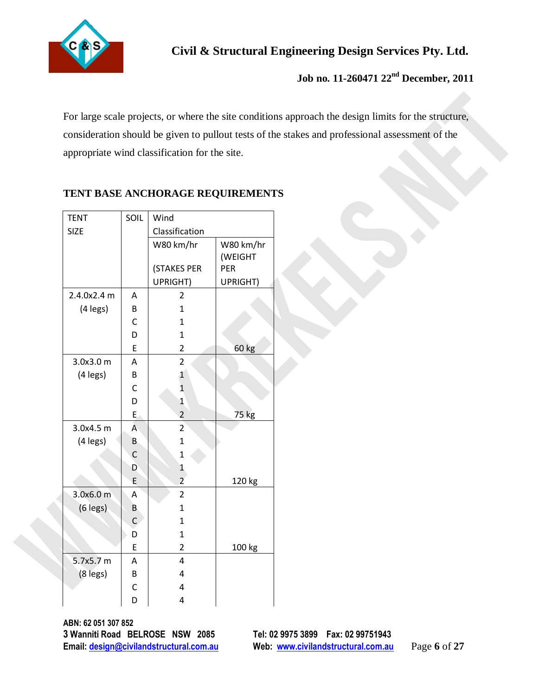

# **Job no. 11-260471 22nd December, 2011**

| appropriate wind classification for the site. |                  |                                  |           | consideration should be given to pullout tests of the stakes and professional assessment of the |
|-----------------------------------------------|------------------|----------------------------------|-----------|-------------------------------------------------------------------------------------------------|
|                                               |                  |                                  |           |                                                                                                 |
|                                               |                  |                                  |           |                                                                                                 |
|                                               |                  |                                  |           |                                                                                                 |
|                                               |                  | TENT BASE ANCHORAGE REQUIREMENTS |           |                                                                                                 |
| <b>TENT</b>                                   | SOIL             | Wind                             |           |                                                                                                 |
| <b>SIZE</b>                                   |                  | Classification                   |           |                                                                                                 |
|                                               |                  | W80 km/hr                        | W80 km/hr |                                                                                                 |
|                                               |                  |                                  | (WEIGHT   |                                                                                                 |
|                                               |                  | (STAKES PER                      | PER       |                                                                                                 |
|                                               |                  | UPRIGHT)                         | UPRIGHT)  |                                                                                                 |
| 2.4.0x2.4 m                                   | A                | $\overline{2}$                   |           |                                                                                                 |
| (4 legs)                                      | B                | 1                                |           |                                                                                                 |
|                                               | C<br>D           | 1<br>$\mathbf{1}$                |           |                                                                                                 |
|                                               | E                | $\overline{2}$                   | 60 kg     |                                                                                                 |
| 3.0x3.0m                                      | A                | $\overline{2}$                   |           |                                                                                                 |
| (4 legs)                                      | В                | $\mathbf{1}$                     |           |                                                                                                 |
|                                               | С                | $\overline{1}$                   |           |                                                                                                 |
|                                               | D                | $\mathbf{1}$                     |           |                                                                                                 |
|                                               | E,               | $\overline{2}$                   | 75 kg     |                                                                                                 |
| 3.0x4.5 m                                     | A                | $2^{1}$                          |           |                                                                                                 |
| (4 legs)                                      | B                | 1                                |           |                                                                                                 |
|                                               | C                | 1                                |           |                                                                                                 |
|                                               | D                | 1                                |           |                                                                                                 |
|                                               | E                | $\overline{2}$                   | 120 kg    |                                                                                                 |
| 3.0x6.0 m                                     | A                | $\overline{2}$                   |           |                                                                                                 |
| $(6 \text{ legs})$                            | B<br>$\mathsf C$ | $\mathbf{1}$                     |           |                                                                                                 |
|                                               | D                | $\mathbf{1}$<br>$\mathbf{1}$     |           |                                                                                                 |
|                                               | E                | $\overline{2}$                   | 100 kg    |                                                                                                 |
| 5.7x5.7 m                                     | $\mathsf A$      | 4                                |           |                                                                                                 |
| (8 legs)                                      | B                | 4                                |           |                                                                                                 |
|                                               | С                | 4                                |           |                                                                                                 |
|                                               | D                | 4                                |           |                                                                                                 |

## **TENT BASE ANCHORAGE REQUIREMENTS**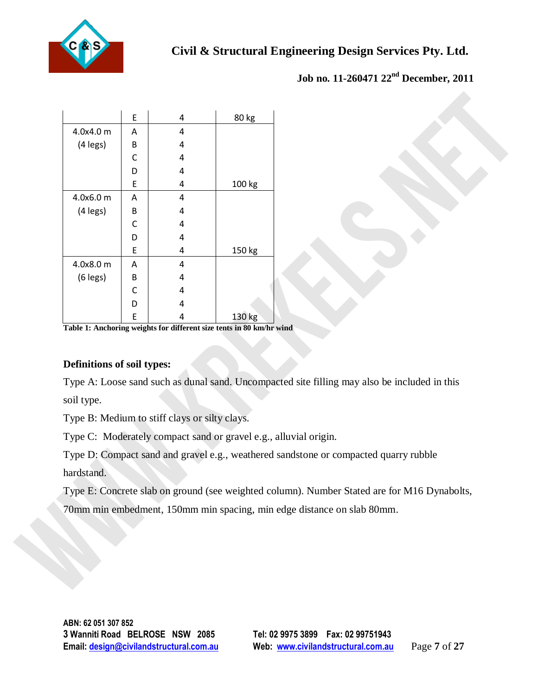

|                            | E      | 4                                             | 80 kg                                                            |                                                                                              |
|----------------------------|--------|-----------------------------------------------|------------------------------------------------------------------|----------------------------------------------------------------------------------------------|
| 4.0x4.0 m                  | A      | 4                                             |                                                                  |                                                                                              |
| (4 legs)                   | В      | 4                                             |                                                                  |                                                                                              |
|                            | С      | 4                                             |                                                                  |                                                                                              |
|                            | D      | 4                                             |                                                                  |                                                                                              |
|                            | E      | 4                                             | 100 kg                                                           |                                                                                              |
| 4.0x6.0 m                  | A      | 4                                             |                                                                  |                                                                                              |
| (4 legs)                   | B      | 4                                             |                                                                  |                                                                                              |
|                            | С      | 4                                             |                                                                  |                                                                                              |
|                            | D      | 4                                             |                                                                  |                                                                                              |
| 4.0x8.0 m                  | E<br>A | 4<br>4                                        | 150 kg                                                           |                                                                                              |
| $(6$ legs)                 | В      | 4                                             |                                                                  |                                                                                              |
|                            | C      | 4                                             |                                                                  |                                                                                              |
|                            | D      | 4                                             |                                                                  |                                                                                              |
|                            | E      | 4                                             | 130 kg                                                           |                                                                                              |
| Definitions of soil types: |        |                                               |                                                                  | Type A: Loose sand such as dunal sand. Uncompacted site filling may also be included in this |
| soil type.                 |        |                                               |                                                                  |                                                                                              |
|                            |        | Type B: Medium to stiff clays or silty clays. |                                                                  |                                                                                              |
|                            |        |                                               | Type C: Moderately compact sand or gravel e.g., alluvial origin. |                                                                                              |
|                            |        |                                               |                                                                  | Type D: Compact sand and gravel e.g., weathered sandstone or compacted quarry rubble         |
| hardstand.                 |        |                                               |                                                                  |                                                                                              |
|                            |        |                                               |                                                                  | Type E: Concrete slab on ground (see weighted column). Number Stated are for M16 Dynabolts,  |
|                            |        |                                               |                                                                  |                                                                                              |
|                            |        |                                               |                                                                  | 70mm min embedment, 150mm min spacing, min edge distance on slab 80mm.                       |
|                            |        |                                               |                                                                  |                                                                                              |
|                            |        |                                               |                                                                  |                                                                                              |

## **Definitions of soil types:**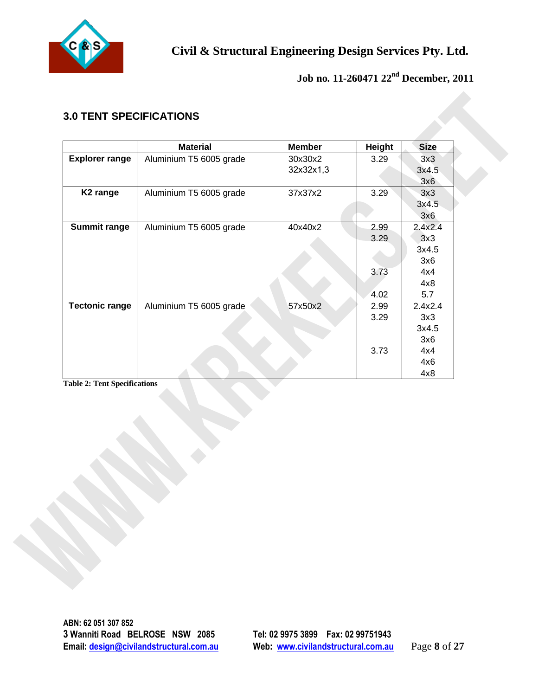

# **3.0 TENT SPECIFICATIONS**

| <b>Explorer range</b><br>K <sub>2</sub> range | <b>Material</b><br>Aluminium T5 6005 grade<br>Aluminium T5 6005 grade | <b>Member</b><br>30x30x2<br>32x32x1,3<br>37x37x2 | Height<br>3.29 | <b>Size</b><br>3x3<br>3x4.5<br>3x6 |
|-----------------------------------------------|-----------------------------------------------------------------------|--------------------------------------------------|----------------|------------------------------------|
|                                               |                                                                       |                                                  |                |                                    |
|                                               |                                                                       |                                                  |                |                                    |
|                                               |                                                                       |                                                  |                |                                    |
|                                               |                                                                       |                                                  | 3.29           | 3x3                                |
|                                               |                                                                       |                                                  |                | 3x4.5                              |
| <b>Summit range</b>                           |                                                                       |                                                  |                | 3x6                                |
|                                               | Aluminium T5 6005 grade                                               | 40x40x2                                          | 2.99           | 2.4x2.4                            |
|                                               |                                                                       |                                                  | 3.29           | 3x3                                |
|                                               |                                                                       |                                                  |                | 3x4.5                              |
|                                               |                                                                       |                                                  |                | 3x6                                |
|                                               |                                                                       |                                                  | 3.73           | 4x4                                |
|                                               |                                                                       |                                                  |                | 4x8                                |
|                                               |                                                                       |                                                  | 4.02           | 5.7                                |
| <b>Tectonic range</b>                         | Aluminium T5 6005 grade                                               | 57x50x2                                          | 2.99           | 2.4x2.4                            |
|                                               |                                                                       |                                                  | 3.29           | 3x3                                |
|                                               |                                                                       |                                                  |                | 3x4.5                              |
|                                               |                                                                       |                                                  |                | 3x6                                |
|                                               |                                                                       |                                                  | 3.73           | 4x4                                |
|                                               |                                                                       |                                                  |                | 4x6                                |
| <b>Table 2: Tent Specifications</b>           |                                                                       |                                                  |                | 4x8                                |
|                                               |                                                                       |                                                  |                |                                    |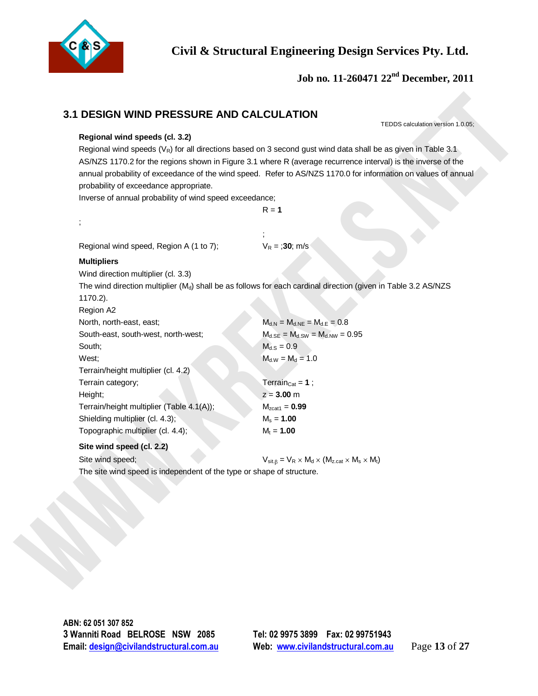

 **Job no. 11-260471 22nd December, 2011** 

## **3.1 DESIGN WIND PRESSURE AND CALCULATION**

#### **Regional wind speeds (cl. 3.2)**

| Regional wind speeds (cl. 3.2)                          | TEDDS calculation version 1.0.05;                                                                                                                                                                                                                                                                                                                    |
|---------------------------------------------------------|------------------------------------------------------------------------------------------------------------------------------------------------------------------------------------------------------------------------------------------------------------------------------------------------------------------------------------------------------|
| probability of exceedance appropriate.                  | Regional wind speeds ( $V_R$ ) for all directions based on 3 second gust wind data shall be as given in Table 3.1<br>AS/NZS 1170.2 for the regions shown in Figure 3.1 where R (average recurrence interval) is the inverse of the<br>annual probability of exceedance of the wind speed. Refer to AS/NZS 1170.0 for information on values of annual |
| Inverse of annual probability of wind speed exceedance; | $R = 1$                                                                                                                                                                                                                                                                                                                                              |
|                                                         |                                                                                                                                                                                                                                                                                                                                                      |
|                                                         |                                                                                                                                                                                                                                                                                                                                                      |
| Regional wind speed, Region A (1 to 7);                 | $V_R = 30$ ; m/s                                                                                                                                                                                                                                                                                                                                     |
| <b>Multipliers</b>                                      |                                                                                                                                                                                                                                                                                                                                                      |
| Wind direction multiplier (cl. 3.3)                     |                                                                                                                                                                                                                                                                                                                                                      |
|                                                         | The wind direction multiplier (M <sub>d</sub> ) shall be as follows for each cardinal direction (given in Table 3.2 AS/NZS                                                                                                                                                                                                                           |
| 1170.2).                                                |                                                                                                                                                                                                                                                                                                                                                      |
| Region A2                                               |                                                                                                                                                                                                                                                                                                                                                      |
| North, north-east, east;                                | $M_{d.N} = M_{d.NE} = M_{d.E} = 0.8$                                                                                                                                                                                                                                                                                                                 |
| South-east, south-west, north-west;                     | $M_{d,SE} = M_{d,SW} = M_{d,NW} = 0.95$                                                                                                                                                                                                                                                                                                              |
| South;                                                  | $M_{d.S} = 0.9$                                                                                                                                                                                                                                                                                                                                      |
| West;                                                   | $M_{d.W} = M_d = 1.0$                                                                                                                                                                                                                                                                                                                                |
| Terrain/height multiplier (cl. 4.2)                     |                                                                                                                                                                                                                                                                                                                                                      |
| Terrain category;                                       | Terrain <sub>Cat</sub> = $1$ ;                                                                                                                                                                                                                                                                                                                       |
| Height;                                                 | $z = 3.00$ m                                                                                                                                                                                                                                                                                                                                         |
| Terrain/height multiplier (Table 4.1(A));               | $M_{zcat1} = 0.99$                                                                                                                                                                                                                                                                                                                                   |
| Shielding multiplier (cl. 4.3);                         | $M_s = 1.00$                                                                                                                                                                                                                                                                                                                                         |
| Topographic multiplier (cl. 4.4);                       | $M_t = 1.00$                                                                                                                                                                                                                                                                                                                                         |
| Site wind speed (cl. 2.2)                               |                                                                                                                                                                                                                                                                                                                                                      |
| Site wind speed;                                        | $V_{\text{sit},\beta} = V_R \times M_d \times (M_{z,\text{cat}} \times M_s \times M_t)$                                                                                                                                                                                                                                                              |
|                                                         | The site wind speed is independent of the type or shape of structure.                                                                                                                                                                                                                                                                                |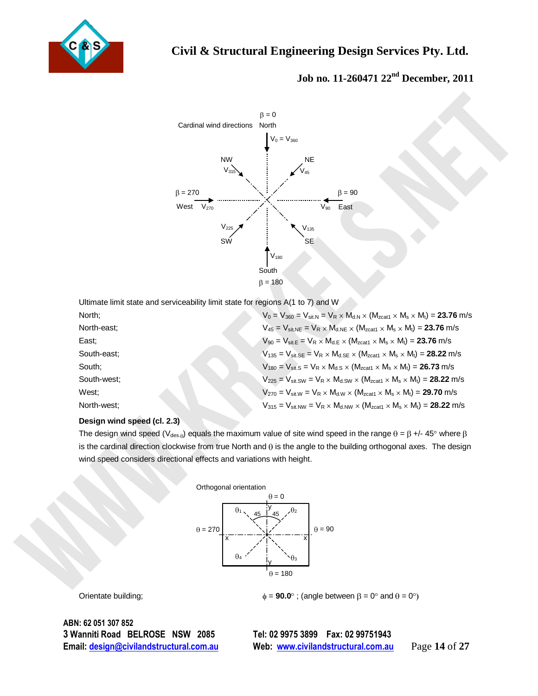



|                             | $\beta = 0$                                                                                                                                       |
|-----------------------------|---------------------------------------------------------------------------------------------------------------------------------------------------|
|                             | Cardinal wind directions<br>North                                                                                                                 |
|                             | $V_0 = V_{360}$                                                                                                                                   |
|                             | <b>NE</b><br><b>NW</b>                                                                                                                            |
|                             | $V_{315}$<br>45                                                                                                                                   |
|                             |                                                                                                                                                   |
| $\beta = 270$               | $\beta = 90$                                                                                                                                      |
|                             | West $V_{270}$<br>East<br>$\mathsf{V}_{90}$                                                                                                       |
|                             | $\rm V_{225}$<br>$\rm V_{135}$                                                                                                                    |
|                             | SŴ<br><b>SE</b>                                                                                                                                   |
|                             |                                                                                                                                                   |
|                             | $V_{180}$                                                                                                                                         |
|                             | South                                                                                                                                             |
|                             | $\beta = 180$                                                                                                                                     |
|                             | Ultimate limit state and serviceability limit state for regions A(1 to 7) and W                                                                   |
| North;                      | $V_0 = V_{360} = V_{\text{sit,N}} = V_R \times M_{d.N} \times (M_{\text{zcat1}} \times M_s \times M_t) = 23.76 \text{ m/s}$                       |
| North-east;                 | $V_{45} = V_{\text{sit,NE}} = V_R \times M_{d.NE} \times (M_{\text{zcat1}} \times M_s \times M_t) = 23.76 \text{ m/s}$                            |
| East;                       | $V_{90} = V_{\text{sit}} = V_R \times M_{d,E} \times (M_{\text{zcat1}} \times M_s \times M_t) = 23.76 \text{ m/s}$                                |
| South-east;                 | $V_{135} = V_{\text{sit.SE}} = V_R \times M_{dSE} \times (M_{\text{zcat1}} \times M_s \times M_t) = 28.22 \text{ m/s}$                            |
| South;                      | $V_{180} = V_{\text{sit.S}} = V_R \times M_{d.S} \times (M_{\text{zcat1}} \times M_s \times M_t) = 26.73 \text{ m/s}$                             |
| South-west;                 | $V_{225} = V_{\text{sit.SW}} = V_R \times M_{d.SW} \times (M_{\text{zcat1}} \times M_s \times M_t) = 28.22 \text{ m/s}$                           |
| West;                       | $V_{270} = V_{\text{sit,W}} = V_R \times M_{d,W} \times (M_{\text{zcat1}} \times M_s \times M_t) = 29.70 \text{ m/s}$                             |
| North-west;                 | $V_{315} = V_{\text{sit,NW}} = V_R \times M_{\text{d,NW}} \times (M_{\text{zcat1}} \times M_s \times M_t) = 28.22 \text{ m/s}$                    |
| Design wind speed (cl. 2.3) |                                                                                                                                                   |
|                             | The design wind speed (V <sub>des.0</sub> ) equals the maximum value of site wind speed in the range $\theta = \beta +1/45^{\circ}$ where $\beta$ |
|                             | is the cardinal direction clockwise from true North and $\theta$ is the angle to the building orthogonal axes. The design                         |
|                             | wind speed considers directional effects and variations with height.                                                                              |
|                             |                                                                                                                                                   |
|                             | Orthogonal orientation                                                                                                                            |
|                             | $\theta = 0$                                                                                                                                      |
|                             | $\theta_1$<br>.θ2<br>45<br>45                                                                                                                     |
|                             | $\theta=270$<br>$\theta = 90$                                                                                                                     |
|                             | X<br>х                                                                                                                                            |
|                             | $\theta_4$<br>$\theta_3$                                                                                                                          |
|                             | $\theta = 180$                                                                                                                                    |
|                             |                                                                                                                                                   |
| Oriontato building          | $\lambda = 00.0$ ° $($ onglo botwoon $\beta = 0$ ° and $\beta = 0$ °                                                                              |

#### **Design wind speed (cl. 2.3)**



Orientate building;  $\phi = 90.0^\circ$ ; (angle between  $\beta = 0^\circ$  and  $\theta = 0^\circ$ )

**ABN: 62 051 307 852 3 Wanniti Road BELROSE NSW 2085 Tel: 02 9975 3899 Fax: 02 99751943** 

**Email: design@civilandstructural.com.au Web: www.civilandstructural.com.au** Page **14** of **27**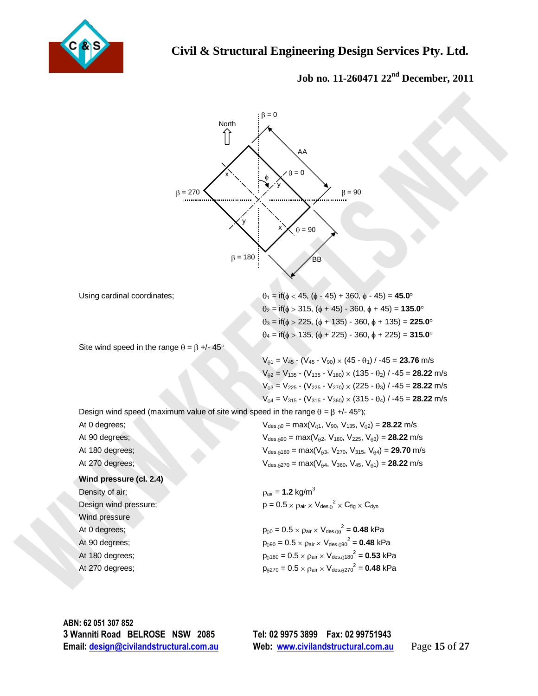



**ABN: 62 051 307 852 3 Wanniti Road BELROSE NSW 2085 Tel: 02 9975 3899 Fax: 02 99751943** 

**Email: design@civilandstructural.com.au Web: www.civilandstructural.com.au** Page **15** of **27**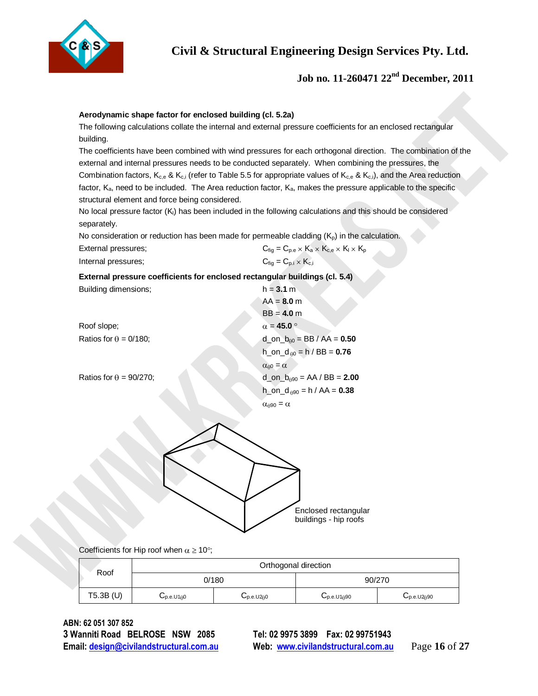

### **Job no. 11-260471 22nd December, 2011**

#### **Aerodynamic shape factor for enclosed building (cl. 5.2a)**

| External pressures; | $C_{\text{fig}} = C_{\text{p.e}} \times K_a \times K_{\text{c,e}} \times K_l \times K_p$ |  |
|---------------------|------------------------------------------------------------------------------------------|--|
| Internal pressures: | $C_{\text{fiq}} = C_{\text{p.i}} \times K_{\text{c.i}}$                                  |  |

| building.                      | The following calculations collate the internal and external pressure coefficients for an enclosed rectangular                           |                                                         |                                                                     |  |
|--------------------------------|------------------------------------------------------------------------------------------------------------------------------------------|---------------------------------------------------------|---------------------------------------------------------------------|--|
|                                | The coefficients have been combined with wind pressures for each orthogonal direction. The combination of the                            |                                                         |                                                                     |  |
|                                | external and internal pressures needs to be conducted separately. When combining the pressures, the                                      |                                                         |                                                                     |  |
|                                | Combination factors, $K_{c,e}$ & $K_{c,i}$ (refer to Table 5.5 for appropriate values of $K_{c,e}$ & $K_{c,i}$ ), and the Area reduction |                                                         |                                                                     |  |
|                                | factor, $K_a$ , need to be included. The Area reduction factor, $K_a$ , makes the pressure applicable to the specific                    |                                                         |                                                                     |  |
|                                | structural element and force being considered.                                                                                           |                                                         |                                                                     |  |
|                                | No local pressure factor (K <sub>i</sub> ) has been included in the following calculations and this should be considered                 |                                                         |                                                                     |  |
| separately.                    |                                                                                                                                          |                                                         |                                                                     |  |
|                                | No consideration or reduction has been made for permeable cladding $(K_p)$ in the calculation.                                           |                                                         | $C_{fig} = C_{p.e} \times K_a \times K_{c,e} \times K_l \times K_p$ |  |
| External pressures;            |                                                                                                                                          | $C_{\text{fiq}} = C_{\text{p.i}} \times K_{\text{c.i}}$ |                                                                     |  |
| Internal pressures;            |                                                                                                                                          |                                                         |                                                                     |  |
|                                | External pressure coefficients for enclosed rectangular buildings (cl. 5.4)                                                              |                                                         |                                                                     |  |
| Building dimensions;           |                                                                                                                                          | $h = 3.1 m$<br>$AA = 8.0 m$                             |                                                                     |  |
|                                |                                                                                                                                          | $BB = 4.0 m$                                            |                                                                     |  |
| Roof slope;                    |                                                                                                                                          | $\alpha = 45.0$                                         |                                                                     |  |
| Ratios for $\theta = 0/180$ ;  |                                                                                                                                          |                                                         | $d_{0}$ on $b_{00}$ = BB / AA = 0.50                                |  |
|                                |                                                                                                                                          |                                                         | $h_{0}$ on $d_{00}$ = h / BB = 0.76                                 |  |
|                                |                                                                                                                                          | $\alpha_{\theta 0} = \alpha$                            |                                                                     |  |
| Ratios for $\theta = 90/270$ ; |                                                                                                                                          |                                                         | d_on_ $b_{\theta 90}$ = AA / BB = 2.00                              |  |
|                                |                                                                                                                                          |                                                         | $h_{0}$ on $d_{0}$ = h / AA = 0.38                                  |  |
|                                |                                                                                                                                          | $\alpha_{\theta 90} = \alpha$                           |                                                                     |  |
|                                |                                                                                                                                          |                                                         |                                                                     |  |
|                                |                                                                                                                                          |                                                         | Enclosed rectangular<br>buildings - hip roofs                       |  |
|                                | Coefficients for Hip roof when $\alpha \ge 10^{\circ}$ ;                                                                                 |                                                         |                                                                     |  |
| Roof                           | 0/180                                                                                                                                    | Orthogonal direction                                    | 90/270                                                              |  |

| Roof        |                                                      | Orthogonal direction       |                             |                             |
|-------------|------------------------------------------------------|----------------------------|-----------------------------|-----------------------------|
|             | 0/180<br>90/270                                      |                            |                             |                             |
| $T5.3B$ (U) | $\mathsf{u}_{\text{p.e.} \text{U1} \oplus \text{O}}$ | $U_{\text{p.e.} \cup 200}$ | $U_{\text{p.e.}U1\theta90}$ | $U_{\text{p.e.}U2\theta90}$ |

**ABN: 62 051 307 852 3 Wanniti Road BELROSE NSW 2085 Tel: 02 9975 3899 Fax: 02 99751943 Email: design@civilandstructural.com.au Web: www.civilandstructural.com.au** Page **16** of **27**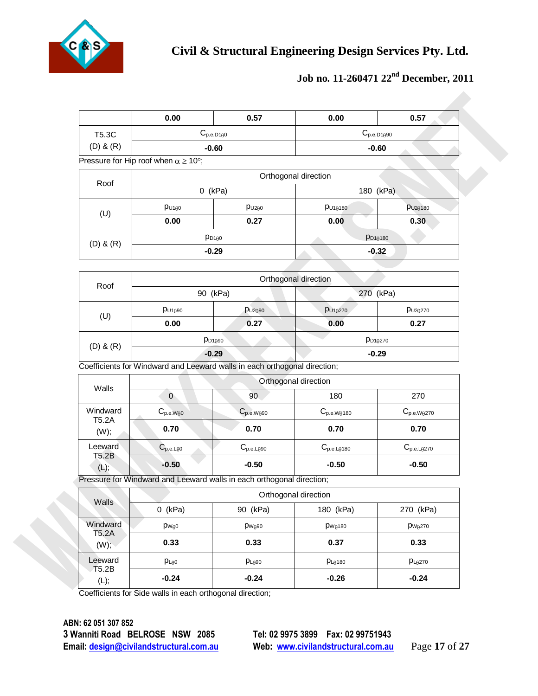

# **Job no. 11-260471 22nd December, 2011**

|                                                                                                                                                                        | 0.00                                                 | 0.57                                                                      | 0.00                 | 0.57                   |  |
|------------------------------------------------------------------------------------------------------------------------------------------------------------------------|------------------------------------------------------|---------------------------------------------------------------------------|----------------------|------------------------|--|
| T5.3C                                                                                                                                                                  |                                                      | $C_{p.e. D1\theta0}$                                                      |                      | $C_{p.e. D1\theta90}$  |  |
| $(D)$ & $(R)$<br>Roof<br>(U)<br>$(D)$ & $(R)$<br>Roof<br>(U)<br>$(D)$ & $(R)$<br>Walls<br>Windward<br><b>T5.2A</b><br>(W);<br>Leeward<br><b>T5.2B</b><br>(L);<br>Walls |                                                      | $-0.60$                                                                   | $-0.60$              |                        |  |
|                                                                                                                                                                        | Pressure for Hip roof when $\alpha \ge 10^{\circ}$ ; |                                                                           |                      |                        |  |
|                                                                                                                                                                        |                                                      |                                                                           | Orthogonal direction |                        |  |
|                                                                                                                                                                        |                                                      | $0$ (kPa)                                                                 |                      | 180 (kPa)              |  |
|                                                                                                                                                                        | $p_{U1\theta0}$                                      | $p_{U2\theta0}$                                                           | $p_{U1\theta180}$    | $p_{U2\theta180}$      |  |
|                                                                                                                                                                        | 0.00                                                 | 0.27                                                                      | 0.00                 | 0.30                   |  |
|                                                                                                                                                                        |                                                      | $p_{D100}$                                                                |                      | $p_{D1\theta180}$      |  |
|                                                                                                                                                                        |                                                      | $-0.29$                                                                   |                      | $-0.32$                |  |
|                                                                                                                                                                        |                                                      |                                                                           |                      |                        |  |
|                                                                                                                                                                        |                                                      |                                                                           | Orthogonal direction |                        |  |
|                                                                                                                                                                        |                                                      | 90 (kPa)                                                                  |                      | 270 (kPa)              |  |
|                                                                                                                                                                        | $p_{U1\theta90}$                                     | $p_{U2\theta90}$                                                          | $p_{U1\theta270}$    | $p_{U2\theta270}$      |  |
|                                                                                                                                                                        | 0.00                                                 | 0.27                                                                      | 0.00                 | 0.27                   |  |
|                                                                                                                                                                        | $p_{D1\theta270}$<br>$p_{D1090}$                     |                                                                           |                      |                        |  |
|                                                                                                                                                                        | $-0.29$<br>$-0.29$                                   |                                                                           |                      |                        |  |
|                                                                                                                                                                        |                                                      | Coefficients for Windward and Leeward walls in each orthogonal direction; |                      |                        |  |
|                                                                                                                                                                        | Orthogonal direction                                 |                                                                           |                      |                        |  |
|                                                                                                                                                                        | $\overline{0}$                                       | 90                                                                        | 180                  | 270                    |  |
|                                                                                                                                                                        | $C_{p.e.W\theta0}$                                   | $C_{p.e.W090}$                                                            | $C_{p.e.W0180}$      | $C_{p.e. W\theta 270}$ |  |
|                                                                                                                                                                        | 0.70                                                 | 0.70                                                                      | 0.70                 | 0.70                   |  |
|                                                                                                                                                                        | $C_{p.e.L\theta0}$                                   | $C_{p.e.L\theta90}$                                                       | $C_{p.e.L\theta180}$ | $C_{p.e.L\theta270}$   |  |
|                                                                                                                                                                        | $-0.50$                                              | $-0.50$                                                                   | $-0.50$              | $-0.50$                |  |
|                                                                                                                                                                        |                                                      | Pressure for Windward and Leeward walls in each orthogonal direction;     |                      |                        |  |
|                                                                                                                                                                        |                                                      |                                                                           | Orthogonal direction |                        |  |
|                                                                                                                                                                        | $0$ (kPa)                                            | 90 (kPa)                                                                  | 180 (kPa)            | 270 (kPa)              |  |
| Windward                                                                                                                                                               | p <sub>weo</sub>                                     | P <sub>W090</sub>                                                         | $p_{W\theta180}$     | $p_{W\theta270}$       |  |
| T5.2A<br>$(W)$ ;                                                                                                                                                       | 0.33                                                 | 0.33                                                                      | 0.37                 | 0.33                   |  |
| Leeward<br>T5.2B                                                                                                                                                       | $p_{L\theta0}$                                       | $p_{L\theta 90}$                                                          | $p_{L\theta180}$     | $p_{L\theta 270}$      |  |
|                                                                                                                                                                        |                                                      |                                                                           |                      |                        |  |

**ABN: 62 051 307 852 3 Wanniti Road BELROSE NSW 2085 Tel: 02 9975 3899 Fax: 02 99751943 Email: design@civilandstructural.com.au Web: www.civilandstructural.com.au** Page **17** of **27**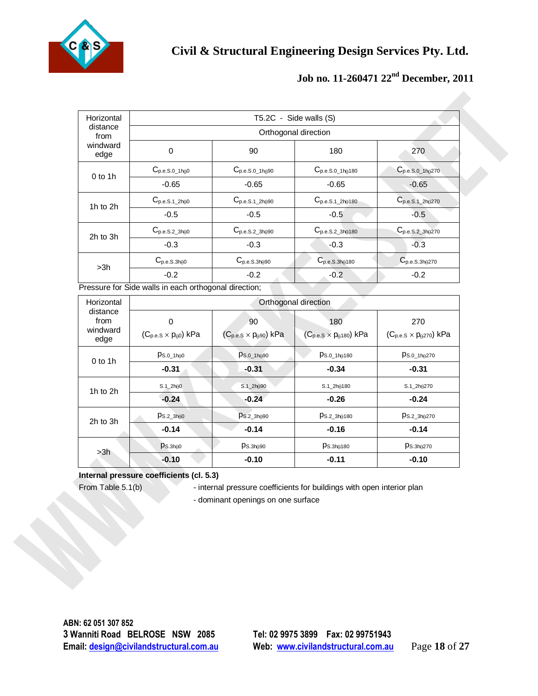

| distance<br>from       | T5.2C - Side walls (S)                                |                                        |                                         |                                       |  |
|------------------------|-------------------------------------------------------|----------------------------------------|-----------------------------------------|---------------------------------------|--|
|                        |                                                       |                                        | Orthogonal direction                    |                                       |  |
| windward<br>edge       | $\pmb{0}$                                             | 90                                     | 180                                     | 270                                   |  |
|                        | $C_{p.e.S.0\_1h\theta0}$                              | $C_{p.e.S.0\_1h\theta90}$              | $C_{p.e.S.0\_1h\theta180}$              | $C_{p.e.S.0\_1h\theta270}$            |  |
| $0$ to 1h              | $-0.65$                                               | $-0.65$                                | $-0.65$                                 | $-0.65$                               |  |
| 1h to 2h               | $C_{p.e.S.1\_2h\theta0}$                              | $C_{p.e.S.1\_2h\theta90}$              | $C_{p.e.S.1\_2h\theta180}$              | $C_{p.e.S.1\_2h\theta270}$            |  |
|                        | $-0.5$                                                | $-0.5$                                 | $-0.5$                                  | $-0.5$                                |  |
|                        | $C_{p.e.S.2\_3h\theta0}$                              | $C_{p.e.S.2\_3h\theta90}$              | $C_{p.e.S.2\_3h\theta180}$              | $C_{p.e.S.2_3h\theta270}$             |  |
| 2h to 3h               | $-0.3$                                                | $-0.3$                                 | $-0.3$                                  | $-0.3$                                |  |
| >3h                    | $C_{p.e.S.3h\theta0}$                                 | $C_{p.e.S.3h\theta90}$                 | $C_{p.e.S.3h\theta180}$                 | $C_{p.e.S.3h\theta270}$               |  |
|                        | $-0.2$                                                | $-0.2$                                 | $-0.2$                                  | $-0.2$                                |  |
|                        | Pressure for Side walls in each orthogonal direction; |                                        |                                         |                                       |  |
| Horizontal<br>distance |                                                       |                                        | Orthogonal direction                    |                                       |  |
| from                   | 0                                                     | 90                                     | 180                                     | 270                                   |  |
| windward<br>edge       | $(C_{p.e.S} \times p_{\theta 0})$ kPa                 | $(C_{p.e.S} \times p_{\theta 90})$ kPa | $(C_{p.e.S} \times p_{\theta 180})$ kPa | $(C_{p.e.S}\times p_{\theta270})$ kPa |  |
| $0$ to 1h              | $p_{S.0\_1h\oplus 0}$                                 | $p_{S.0\_1h\theta90}$                  | $p_{S.0\_1h\theta180}$                  | $ps.0_1h0270$                         |  |
|                        | $-0.31$                                               | $-0.31$                                | $-0.34$                                 | $-0.31$                               |  |
| 1h to 2h               | $S.1\_2h00$                                           | $S.1\_2h090$                           | $S.1\_2h00180$                          | $S.1\_2h0270$                         |  |
|                        | $-0.24$                                               | $-0.24$                                | $-0.26$                                 | $-0.24$                               |  |
| 2h to 3h               | $Ps.2_3h\theta0$                                      | $p_{S.2\_3h\theta90}$                  | $p_{S.2\_3h\theta180}$                  | $p_{S.2\_3h\oplus270}$                |  |
|                        | $-0.14$                                               | $-0.14$                                | $-0.16$                                 | $-0.14$                               |  |
| >3h                    | $p_{S.3h\oplus 0}$                                    | $p_{S.3h\theta90}$                     | $p_{S.3h\theta180}$                     | $p_{S.3h\theta270}$                   |  |
|                        | $-0.10$                                               | $-0.10$                                | $-0.11$                                 | $-0.10$                               |  |

| Horizontal                           |                                            |                                              | Orthogonal direction                           |                                                |
|--------------------------------------|--------------------------------------------|----------------------------------------------|------------------------------------------------|------------------------------------------------|
| distance<br>from<br>windward<br>edge | 0<br>$(C_{p.e.S} \times p_{\theta 0})$ kPa | 90<br>$(C_{p.e.S} \times p_{\theta 90})$ kPa | 180<br>$(C_{p.e.S} \times p_{\theta 180})$ kPa | 270<br>$(C_{p.e.S} \times p_{\theta 270})$ kPa |
| $0$ to 1h                            | Ps.0 1h00                                  | $p_{S.0_1h\theta90}$                         | PS.0 1h0180                                    | PS.0 1h0270                                    |
|                                      | $-0.31$                                    | $-0.31$                                      | $-0.34$                                        | $-0.31$                                        |
| 1 $h$ to 2 $h$                       | $S.1\_2h00$                                | $S.1\_2h090$                                 | $S.1\_2h0180$                                  | $S.1\_2h00270$                                 |
|                                      | $-0.24$                                    | $-0.24$                                      | $-0.26$                                        | $-0.24$                                        |
| 2h to 3h                             | Ps.23h00                                   | $Ps.2$ 3h $0.90$                             | Ps.23h0180                                     | Ps.2 3h/270                                    |
|                                      | $-0.14$                                    | $-0.14$                                      | $-0.16$                                        | $-0.14$                                        |
| >3h                                  | $Ps.\text{3h}00$                           | $p_{S.3h\theta90}$                           | $Ps.\overline{3h}0180$                         | Ps.3h0270                                      |
|                                      | $-0.10$                                    | $-0.10$                                      | $-0.11$                                        | $-0.10$                                        |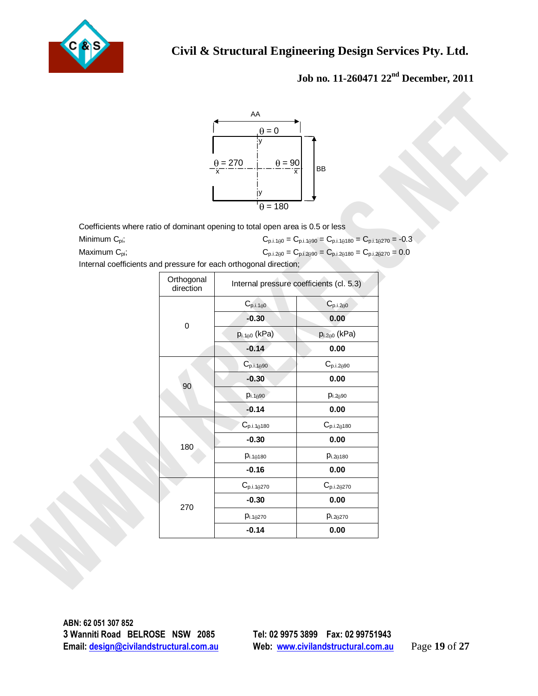



|                                                                                |                         | $\theta = 0$<br>$\frac{\theta = 270}{x}$<br>$\theta = 90$ | BB<br>$\overline{x}$                                                                                                                                                          |  |
|--------------------------------------------------------------------------------|-------------------------|-----------------------------------------------------------|-------------------------------------------------------------------------------------------------------------------------------------------------------------------------------|--|
|                                                                                |                         |                                                           |                                                                                                                                                                               |  |
|                                                                                |                         | IУ<br>$\theta = 180$                                      |                                                                                                                                                                               |  |
|                                                                                |                         |                                                           |                                                                                                                                                                               |  |
| Coefficients where ratio of dominant opening to total open area is 0.5 or less |                         |                                                           |                                                                                                                                                                               |  |
| Minimum C <sub>pi</sub> ;<br>Maximum C <sub>pi</sub> ;                         |                         |                                                           | $C_{p,i,1\theta 0}=C_{p,i,1\theta 90}=C_{p,i,1\theta 180}=C_{p,i,1\theta 270}=-0.3$<br>$C_{\text{p.i.200}}=C_{\text{p.i.2090}}=C_{\text{p.i.20180}}=C_{\text{p.i.20270}}=0.0$ |  |
| Internal coefficients and pressure for each orthogonal direction;              |                         |                                                           |                                                                                                                                                                               |  |
|                                                                                | Orthogonal<br>direction |                                                           | Internal pressure coefficients (cl. 5.3)                                                                                                                                      |  |
|                                                                                | $\pmb{0}$               | $C_{p.i.1\theta0}$                                        | $C_{p.i.200}$                                                                                                                                                                 |  |
|                                                                                |                         | $-0.30$                                                   | 0.00                                                                                                                                                                          |  |
|                                                                                |                         | $p_{i.100}$ (kPa)                                         | $p_{i.200}$ (kPa)                                                                                                                                                             |  |
|                                                                                |                         | $-0.14$                                                   | $0.00\,$                                                                                                                                                                      |  |
|                                                                                |                         | $C_{p.i.1\theta90}$                                       | $C_{p.i.2\theta90}$                                                                                                                                                           |  |
|                                                                                |                         | $-0.30$                                                   | 0.00                                                                                                                                                                          |  |
|                                                                                | 90                      | $p_{i.1\theta90}$                                         | $p_{i.2\theta90}$                                                                                                                                                             |  |
|                                                                                |                         | $-0.14$                                                   | 0.00                                                                                                                                                                          |  |
|                                                                                |                         | $C_{p.i.1\theta180}$                                      | $C_{p.i.2\theta180}$                                                                                                                                                          |  |
|                                                                                |                         | $-0.30$                                                   | 0.00                                                                                                                                                                          |  |
|                                                                                | 180                     | $p_{i.1\theta180}$                                        | $p_{i.2\theta180}$                                                                                                                                                            |  |
|                                                                                |                         | $-0.16$                                                   | 0.00                                                                                                                                                                          |  |
|                                                                                |                         | $C_{p.i.1\theta270}$                                      | $C_{p.i.2\theta270}$                                                                                                                                                          |  |
|                                                                                |                         | $-0.30$                                                   | 0.00                                                                                                                                                                          |  |
|                                                                                | 270                     | $p_{i.1\theta270}$                                        | $p_{i.2\theta270}$                                                                                                                                                            |  |
|                                                                                |                         | $-0.14$                                                   | 0.00                                                                                                                                                                          |  |
|                                                                                |                         |                                                           |                                                                                                                                                                               |  |